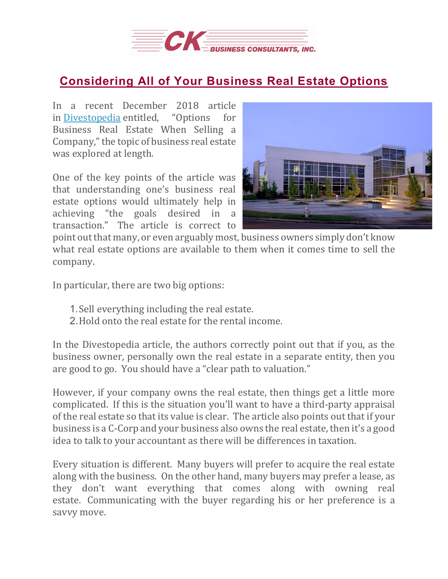

## **[Considering](https://deal-studio.com/considering-all-of-your-business-real-estate-options/) All of Your Business Real Estate Options**

In a recent December 2018 article<br>in Divestopedia entitled. "Options for in [Divestopedia](https://www.divestopedia.com/2/6286/sale-process/negotiation/options-for-business-real-estate-when-selling-a-company) entitled. Business Real Estate When Selling a Company,"the topic of business real estate was explored at length.

One of the key points of the article was that understanding one's business real estate options would ultimately help in achieving "the goals desired in a transaction." The article is correct to



point out that many, or even arguably most, business owners simply don't know what real estate options are available to them when it comes time to sell the company.

In particular, there are two big options:

- 1.Sell everything including the real estate.
- 2.Hold onto the real estate for the rental income.

In the Divestopedia article, the authors correctly point out that if you, as the business owner, personally own the real estate in a separate entity, then you are good to go. You should have a "clear path to valuation."

However, if your company owns the real estate, then things get a little more complicated. If this is the situation you'll want to have a third-party appraisal of the real estate so that its value is clear. The article also points out that if your business is a C-Corp and your business also owns the real estate, then it's a good idea to talk to your accountant as there will be differences in taxation.

Every situation is different. Many buyers will prefer to acquire the real estate along with the business. On the other hand, many buyers may prefer a lease, as they don't want everything that comes along with owning real estate. Communicating with the buyer regarding his or her preference is a savvy move.